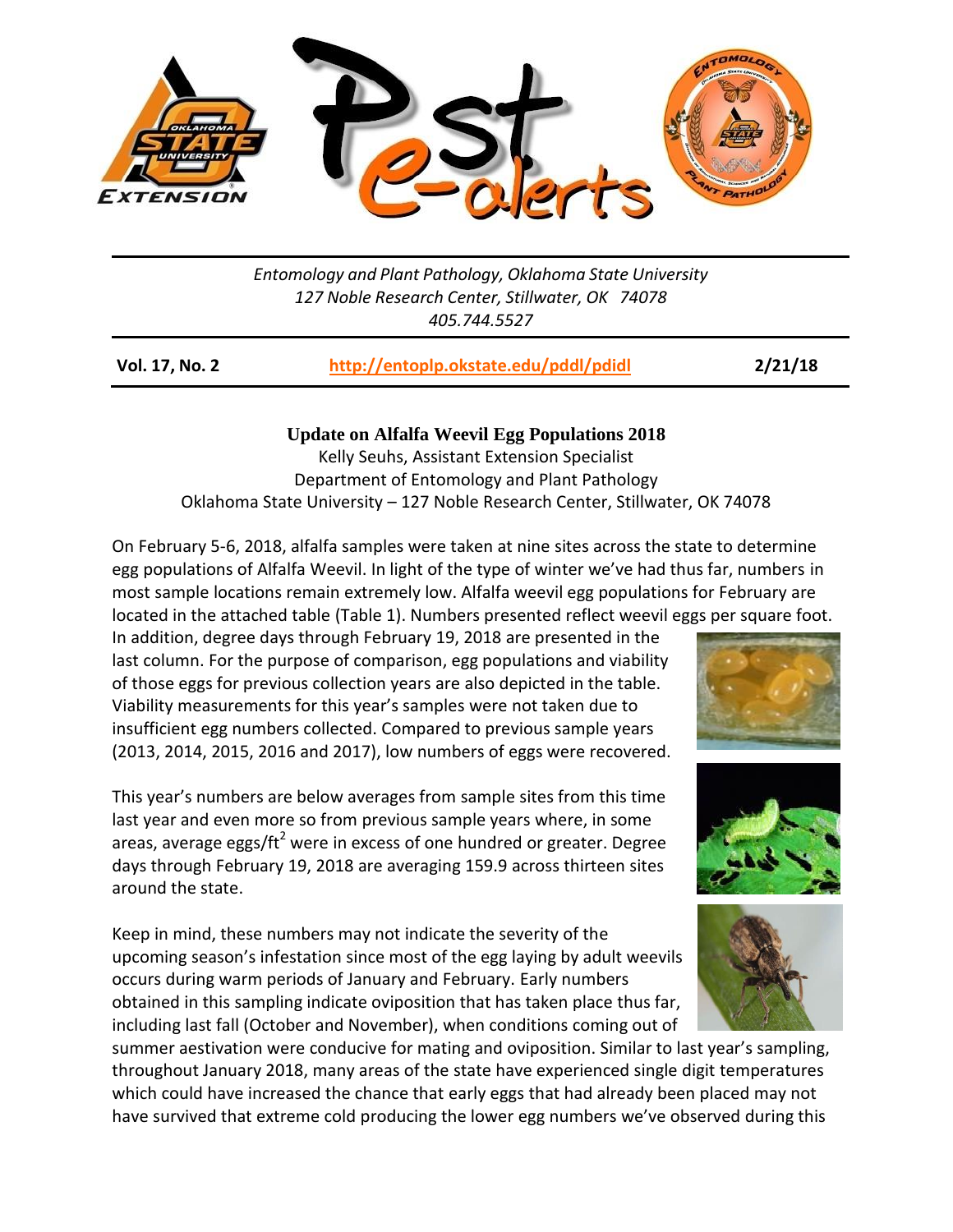

## *Entomology and Plant Pathology, Oklahoma State University 127 Noble Research Center, Stillwater, OK 74078 405.744.5527*

| <b>Vol. 17, No. 2</b> | http://entoplp.okstate.edu/pddl/pdidl | 2/21/18 |
|-----------------------|---------------------------------------|---------|
|-----------------------|---------------------------------------|---------|

**Update on Alfalfa Weevil Egg Populations 2018** Kelly Seuhs, Assistant Extension Specialist

Department of Entomology and Plant Pathology Oklahoma State University – 127 Noble Research Center, Stillwater, OK 74078

On February 5-6, 2018, alfalfa samples were taken at nine sites across the state to determine egg populations of Alfalfa Weevil. In light of the type of winter we've had thus far, numbers in most sample locations remain extremely low. Alfalfa weevil egg populations for February are located in the attached table (Table 1). Numbers presented reflect weevil eggs per square foot.

In addition, degree days through February 19, 2018 are presented in the last column. For the purpose of comparison, egg populations and viability of those eggs for previous collection years are also depicted in the table. Viability measurements for this year's samples were not taken due to insufficient egg numbers collected. Compared to previous sample years (2013, 2014, 2015, 2016 and 2017), low numbers of eggs were recovered.

This year's numbers are below averages from sample sites from this time last year and even more so from previous sample years where, in some areas, average eggs/ $ft^2$  were in excess of one hundred or greater. Degree days through February 19, 2018 are averaging 159.9 across thirteen sites around the state.

Keep in mind, these numbers may not indicate the severity of the upcoming season's infestation since most of the egg laying by adult weevils occurs during warm periods of January and February. Early numbers obtained in this sampling indicate oviposition that has taken place thus far, including last fall (October and November), when conditions coming out of

summer aestivation were conducive for mating and oviposition. Similar to last year's sampling, throughout January 2018, many areas of the state have experienced single digit temperatures which could have increased the chance that early eggs that had already been placed may not have survived that extreme cold producing the lower egg numbers we've observed during this







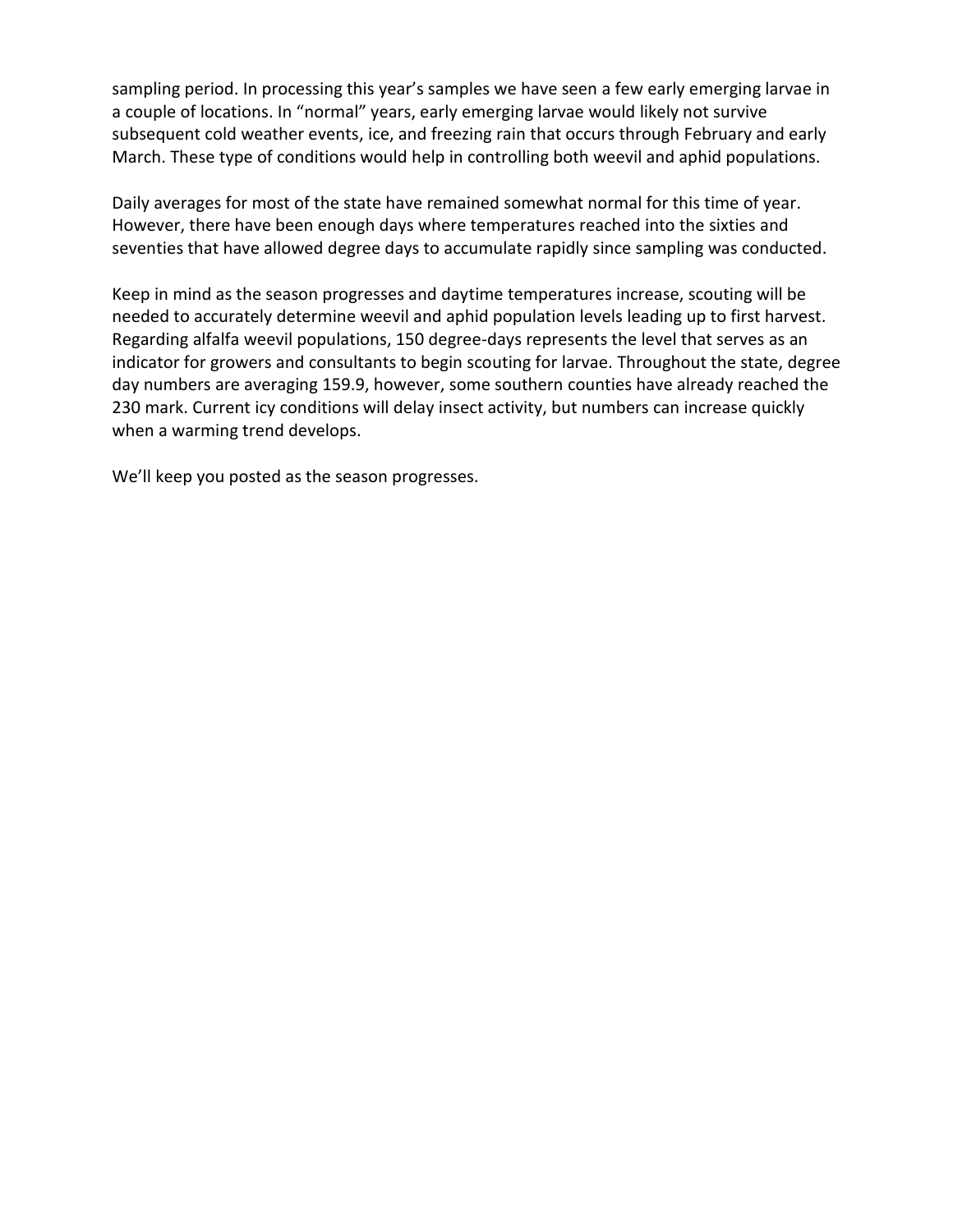sampling period. In processing this year's samples we have seen a few early emerging larvae in a couple of locations. In "normal" years, early emerging larvae would likely not survive subsequent cold weather events, ice, and freezing rain that occurs through February and early March. These type of conditions would help in controlling both weevil and aphid populations.

Daily averages for most of the state have remained somewhat normal for this time of year. However, there have been enough days where temperatures reached into the sixties and seventies that have allowed degree days to accumulate rapidly since sampling was conducted.

Keep in mind as the season progresses and daytime temperatures increase, scouting will be needed to accurately determine weevil and aphid population levels leading up to first harvest. Regarding alfalfa weevil populations, 150 degree-days represents the level that serves as an indicator for growers and consultants to begin scouting for larvae. Throughout the state, degree day numbers are averaging 159.9, however, some southern counties have already reached the 230 mark. Current icy conditions will delay insect activity, but numbers can increase quickly when a warming trend develops.

We'll keep you posted as the season progresses.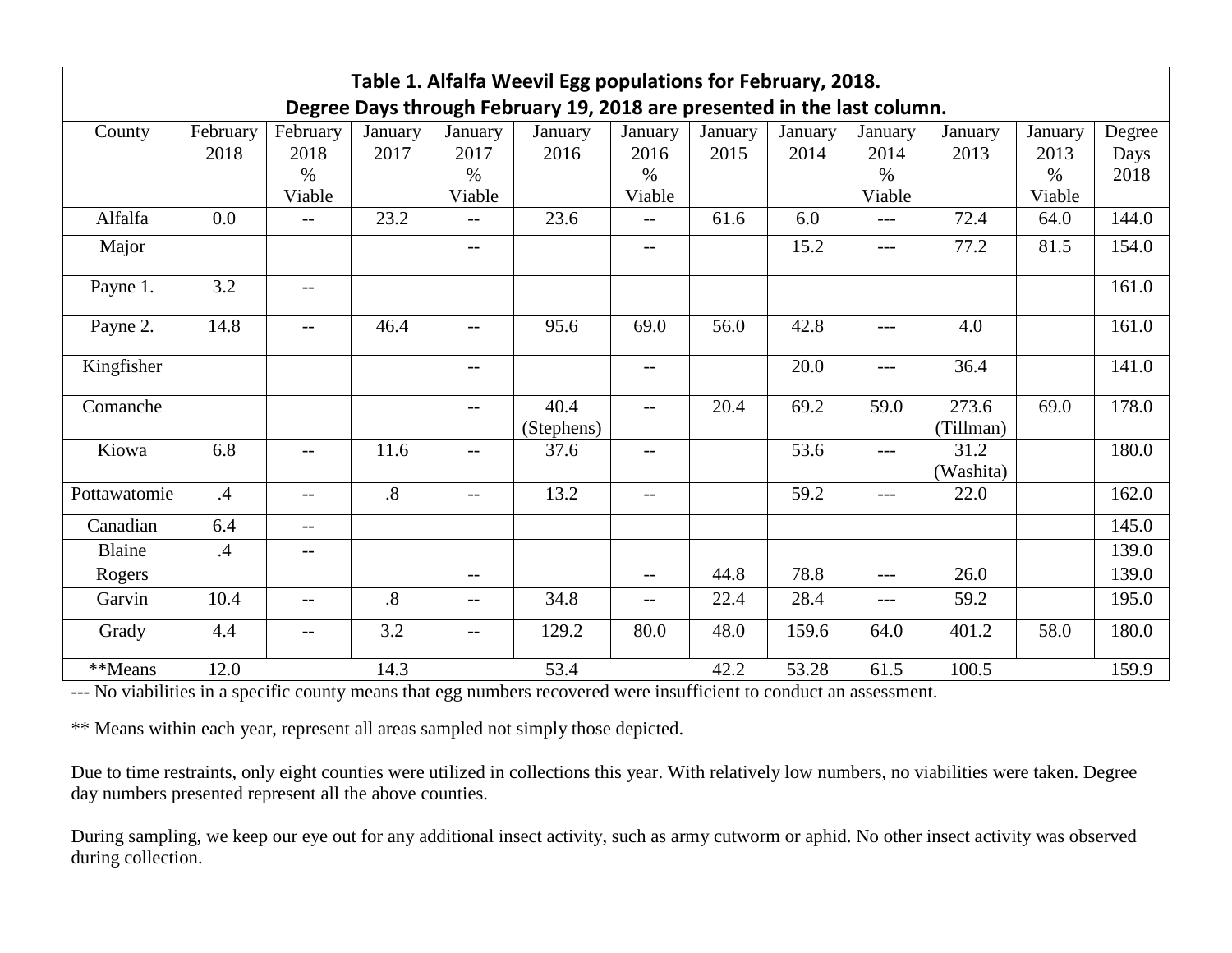| Table 1. Alfalfa Weevil Egg populations for February, 2018.             |               |                          |                 |         |                    |                          |         |         |         |                    |         |        |  |
|-------------------------------------------------------------------------|---------------|--------------------------|-----------------|---------|--------------------|--------------------------|---------|---------|---------|--------------------|---------|--------|--|
| Degree Days through February 19, 2018 are presented in the last column. |               |                          |                 |         |                    |                          |         |         |         |                    |         |        |  |
| County                                                                  | February      | February                 | January         | January | January            | January                  | January | January | January | January            | January | Degree |  |
|                                                                         | 2018          | 2018                     | 2017            | 2017    | 2016               | 2016                     | 2015    | 2014    | 2014    | 2013               | 2013    | Days   |  |
|                                                                         |               | $\%$                     |                 | $\%$    |                    | $\%$                     |         |         | $\%$    |                    | $\%$    | 2018   |  |
|                                                                         |               | Viable                   |                 | Viable  |                    | Viable                   |         |         | Viable  |                    | Viable  |        |  |
| Alfalfa                                                                 | 0.0           | $\overline{\phantom{a}}$ | 23.2            | $-$     | 23.6               | $-$                      | 61.6    | 6.0     | $---$   | 72.4               | 64.0    | 144.0  |  |
| Major                                                                   |               |                          |                 | $-$     |                    | $-$                      |         | 15.2    | $---$   | 77.2               | 81.5    | 154.0  |  |
| Payne 1.                                                                | 3.2           | $\overline{\phantom{m}}$ |                 |         |                    |                          |         |         |         |                    |         | 161.0  |  |
| Payne 2.                                                                | 14.8          | $\overline{\phantom{m}}$ | 46.4            | $-$     | 95.6               | 69.0                     | 56.0    | 42.8    | $---$   | 4.0                |         | 161.0  |  |
| Kingfisher                                                              |               |                          |                 | $-$     |                    | $-$                      |         | 20.0    | $---$   | 36.4               |         | 141.0  |  |
| Comanche                                                                |               |                          |                 | $-$     | 40.4<br>(Stephens) | $\overline{\phantom{m}}$ | 20.4    | 69.2    | 59.0    | 273.6<br>(Tillman) | 69.0    | 178.0  |  |
| Kiowa                                                                   | 6.8           | $\overline{\phantom{a}}$ | 11.6            | $-$     | 37.6               | $\qquad \qquad -$        |         | 53.6    | $---$   | 31.2<br>(Washita)  |         | 180.0  |  |
| Pottawatomie                                                            | .4            | $\overline{\phantom{a}}$ | $\overline{.8}$ | $-$     | 13.2               | $-$                      |         | 59.2    | $---$   | 22.0               |         | 162.0  |  |
| Canadian                                                                | 6.4           | $ -$                     |                 |         |                    |                          |         |         |         |                    |         | 145.0  |  |
| Blaine                                                                  | $\mathcal{A}$ | $\overline{\phantom{m}}$ |                 |         |                    |                          |         |         |         |                    |         | 139.0  |  |
| Rogers                                                                  |               |                          |                 | $-$     |                    | $-$                      | 44.8    | 78.8    | $---$   | 26.0               |         | 139.0  |  |
| Garvin                                                                  | 10.4          | $\overline{\phantom{a}}$ | $\overline{.8}$ | $-$     | 34.8               | $-$                      | 22.4    | 28.4    | $---$   | 59.2               |         | 195.0  |  |
| Grady                                                                   | 4.4           | $--$                     | 3.2             | $-$     | 129.2              | 80.0                     | 48.0    | 159.6   | 64.0    | 401.2              | 58.0    | 180.0  |  |
| **Means                                                                 | 12.0          |                          | 14.3            |         | 53.4               |                          | 42.2    | 53.28   | 61.5    | 100.5              |         | 159.9  |  |

--- No viabilities in a specific county means that egg numbers recovered were insufficient to conduct an assessment.

\*\* Means within each year, represent all areas sampled not simply those depicted.

Due to time restraints, only eight counties were utilized in collections this year. With relatively low numbers, no viabilities were taken. Degree day numbers presented represent all the above counties.

During sampling, we keep our eye out for any additional insect activity, such as army cutworm or aphid. No other insect activity was observed during collection.